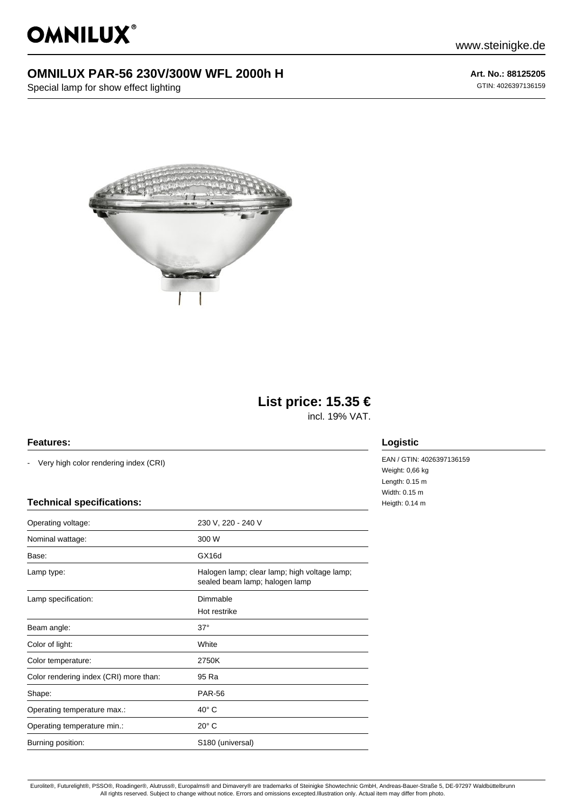OMNILUX®

www.steinigke.de

## **OMNILUX PAR-56 230V/300W WFL 2000h H**

Special lamp for show effect lighting

**Art. No.: 88125205** GTIN: 4026397136159



# **List price: 15.35 €**

incl. 19% VAT.

#### **Features:**

- Very high color rendering index (CRI)

#### **Technical specifications:**

| Operating voltage:                     | 230 V, 220 - 240 V                                                             |
|----------------------------------------|--------------------------------------------------------------------------------|
| Nominal wattage:                       | 300 W                                                                          |
| Base:                                  | GX16d                                                                          |
| Lamp type:                             | Halogen lamp; clear lamp; high voltage lamp;<br>sealed beam lamp; halogen lamp |
| Lamp specification:                    | Dimmable                                                                       |
|                                        | Hot restrike                                                                   |
| Beam angle:                            | $37^\circ$                                                                     |
| Color of light:                        | White                                                                          |
| Color temperature:                     | 2750K                                                                          |
| Color rendering index (CRI) more than: | 95 Ra                                                                          |
| Shape:                                 | <b>PAR-56</b>                                                                  |
| Operating temperature max.:            | $40^{\circ}$ C                                                                 |
| Operating temperature min.:            | $20^\circ$ C                                                                   |
| Burning position:                      | S180 (universal)                                                               |

### **Logistic**

EAN / GTIN: 4026397136159 Weight: 0,66 kg Length: 0.15 m Width: 0.15 m Heigth: 0.14 m

Eurolite®, Futurelight®, PSSO®, Roadinger®, Alutruss®, Europalms® and Dimavery® are trademarks of Steinigke Showtechnic GmbH, Andreas-Bauer-Straße 5, DE-97297 Waldbüttelbrunn All rights reserved. Subject to change without notice. Errors and omissions excepted.Illustration only. Actual item may differ from photo.